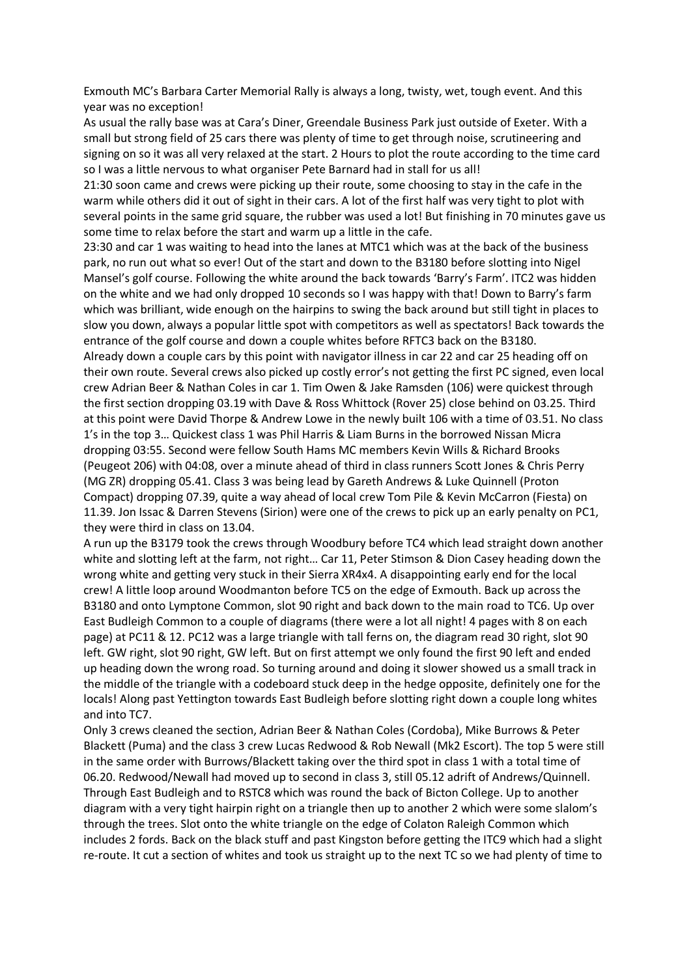Exmouth MC's Barbara Carter Memorial Rally is always a long, twisty, wet, tough event. And this year was no exception!

As usual the rally base was at Cara's Diner, Greendale Business Park just outside of Exeter. With a small but strong field of 25 cars there was plenty of time to get through noise, scrutineering and signing on so it was all very relaxed at the start. 2 Hours to plot the route according to the time card so I was a little nervous to what organiser Pete Barnard had in stall for us all!

21:30 soon came and crews were picking up their route, some choosing to stay in the cafe in the warm while others did it out of sight in their cars. A lot of the first half was very tight to plot with several points in the same grid square, the rubber was used a lot! But finishing in 70 minutes gave us some time to relax before the start and warm up a little in the cafe.

23:30 and car 1 was waiting to head into the lanes at MTC1 which was at the back of the business park, no run out what so ever! Out of the start and down to the B3180 before slotting into Nigel Mansel's golf course. Following the white around the back towards 'Barry's Farm'. ITC2 was hidden on the white and we had only dropped 10 seconds so I was happy with that! Down to Barry's farm which was brilliant, wide enough on the hairpins to swing the back around but still tight in places to slow you down, always a popular little spot with competitors as well as spectators! Back towards the entrance of the golf course and down a couple whites before RFTC3 back on the B3180. Already down a couple cars by this point with navigator illness in car 22 and car 25 heading off on their own route. Several crews also picked up costly error's not getting the first PC signed, even local crew Adrian Beer & Nathan Coles in car 1. Tim Owen & Jake Ramsden (106) were quickest through the first section dropping 03.19 with Dave & Ross Whittock (Rover 25) close behind on 03.25. Third at this point were David Thorpe & Andrew Lowe in the newly built 106 with a time of 03.51. No class 1's in the top 3… Quickest class 1 was Phil Harris & Liam Burns in the borrowed Nissan Micra dropping 03:55. Second were fellow South Hams MC members Kevin Wills & Richard Brooks (Peugeot 206) with 04:08, over a minute ahead of third in class runners Scott Jones & Chris Perry (MG ZR) dropping 05.41. Class 3 was being lead by Gareth Andrews & Luke Quinnell (Proton Compact) dropping 07.39, quite a way ahead of local crew Tom Pile & Kevin McCarron (Fiesta) on 11.39. Jon Issac & Darren Stevens (Sirion) were one of the crews to pick up an early penalty on PC1,

they were third in class on 13.04.

A run up the B3179 took the crews through Woodbury before TC4 which lead straight down another white and slotting left at the farm, not right… Car 11, Peter Stimson & Dion Casey heading down the wrong white and getting very stuck in their Sierra XR4x4. A disappointing early end for the local crew! A little loop around Woodmanton before TC5 on the edge of Exmouth. Back up across the B3180 and onto Lymptone Common, slot 90 right and back down to the main road to TC6. Up over East Budleigh Common to a couple of diagrams (there were a lot all night! 4 pages with 8 on each page) at PC11 & 12. PC12 was a large triangle with tall ferns on, the diagram read 30 right, slot 90 left. GW right, slot 90 right, GW left. But on first attempt we only found the first 90 left and ended up heading down the wrong road. So turning around and doing it slower showed us a small track in the middle of the triangle with a codeboard stuck deep in the hedge opposite, definitely one for the locals! Along past Yettington towards East Budleigh before slotting right down a couple long whites and into TC7.

Only 3 crews cleaned the section, Adrian Beer & Nathan Coles (Cordoba), Mike Burrows & Peter Blackett (Puma) and the class 3 crew Lucas Redwood & Rob Newall (Mk2 Escort). The top 5 were still in the same order with Burrows/Blackett taking over the third spot in class 1 with a total time of 06.20. Redwood/Newall had moved up to second in class 3, still 05.12 adrift of Andrews/Quinnell. Through East Budleigh and to RSTC8 which was round the back of Bicton College. Up to another diagram with a very tight hairpin right on a triangle then up to another 2 which were some slalom's through the trees. Slot onto the white triangle on the edge of Colaton Raleigh Common which includes 2 fords. Back on the black stuff and past Kingston before getting the ITC9 which had a slight re-route. It cut a section of whites and took us straight up to the next TC so we had plenty of time to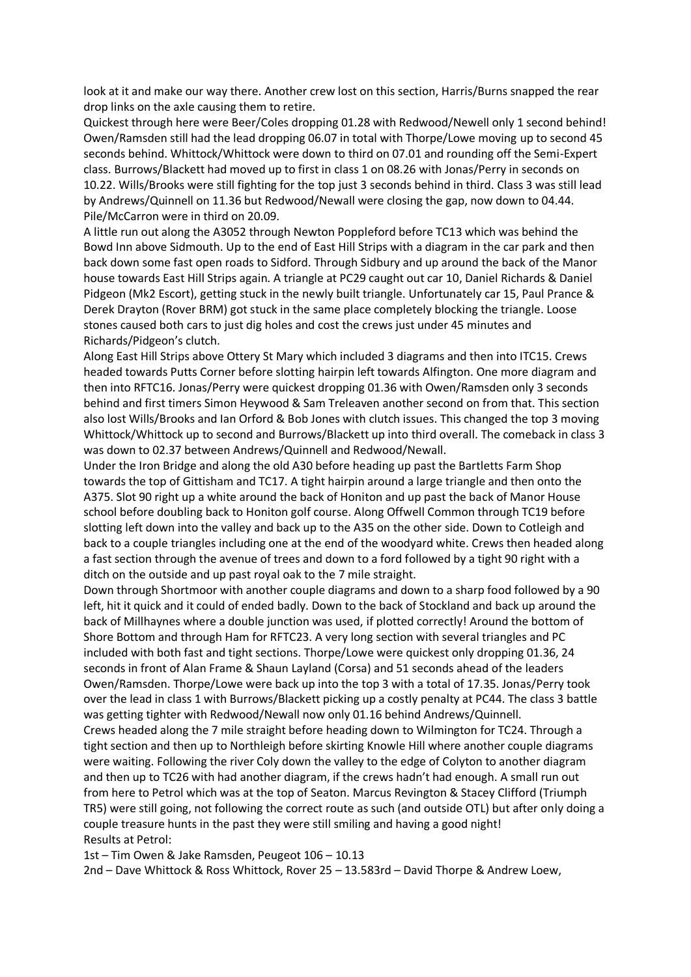look at it and make our way there. Another crew lost on this section, Harris/Burns snapped the rear drop links on the axle causing them to retire.

Quickest through here were Beer/Coles dropping 01.28 with Redwood/Newell only 1 second behind! Owen/Ramsden still had the lead dropping 06.07 in total with Thorpe/Lowe moving up to second 45 seconds behind. Whittock/Whittock were down to third on 07.01 and rounding off the Semi-Expert class. Burrows/Blackett had moved up to first in class 1 on 08.26 with Jonas/Perry in seconds on 10.22. Wills/Brooks were still fighting for the top just 3 seconds behind in third. Class 3 was still lead by Andrews/Quinnell on 11.36 but Redwood/Newall were closing the gap, now down to 04.44. Pile/McCarron were in third on 20.09.

A little run out along the A3052 through Newton Poppleford before TC13 which was behind the Bowd Inn above Sidmouth. Up to the end of East Hill Strips with a diagram in the car park and then back down some fast open roads to Sidford. Through Sidbury and up around the back of the Manor house towards East Hill Strips again. A triangle at PC29 caught out car 10, Daniel Richards & Daniel Pidgeon (Mk2 Escort), getting stuck in the newly built triangle. Unfortunately car 15, Paul Prance & Derek Drayton (Rover BRM) got stuck in the same place completely blocking the triangle. Loose stones caused both cars to just dig holes and cost the crews just under 45 minutes and Richards/Pidgeon's clutch.

Along East Hill Strips above Ottery St Mary which included 3 diagrams and then into ITC15. Crews headed towards Putts Corner before slotting hairpin left towards Alfington. One more diagram and then into RFTC16. Jonas/Perry were quickest dropping 01.36 with Owen/Ramsden only 3 seconds behind and first timers Simon Heywood & Sam Treleaven another second on from that. This section also lost Wills/Brooks and Ian Orford & Bob Jones with clutch issues. This changed the top 3 moving Whittock/Whittock up to second and Burrows/Blackett up into third overall. The comeback in class 3 was down to 02.37 between Andrews/Quinnell and Redwood/Newall.

Under the Iron Bridge and along the old A30 before heading up past the Bartletts Farm Shop towards the top of Gittisham and TC17. A tight hairpin around a large triangle and then onto the A375. Slot 90 right up a white around the back of Honiton and up past the back of Manor House school before doubling back to Honiton golf course. Along Offwell Common through TC19 before slotting left down into the valley and back up to the A35 on the other side. Down to Cotleigh and back to a couple triangles including one at the end of the woodyard white. Crews then headed along a fast section through the avenue of trees and down to a ford followed by a tight 90 right with a ditch on the outside and up past royal oak to the 7 mile straight.

Down through Shortmoor with another couple diagrams and down to a sharp food followed by a 90 left, hit it quick and it could of ended badly. Down to the back of Stockland and back up around the back of Millhaynes where a double junction was used, if plotted correctly! Around the bottom of Shore Bottom and through Ham for RFTC23. A very long section with several triangles and PC included with both fast and tight sections. Thorpe/Lowe were quickest only dropping 01.36, 24 seconds in front of Alan Frame & Shaun Layland (Corsa) and 51 seconds ahead of the leaders Owen/Ramsden. Thorpe/Lowe were back up into the top 3 with a total of 17.35. Jonas/Perry took over the lead in class 1 with Burrows/Blackett picking up a costly penalty at PC44. The class 3 battle was getting tighter with Redwood/Newall now only 01.16 behind Andrews/Quinnell.

Crews headed along the 7 mile straight before heading down to Wilmington for TC24. Through a tight section and then up to Northleigh before skirting Knowle Hill where another couple diagrams were waiting. Following the river Coly down the valley to the edge of Colyton to another diagram and then up to TC26 with had another diagram, if the crews hadn't had enough. A small run out from here to Petrol which was at the top of Seaton. Marcus Revington & Stacey Clifford (Triumph TR5) were still going, not following the correct route as such (and outside OTL) but after only doing a couple treasure hunts in the past they were still smiling and having a good night! Results at Petrol:

1st – Tim Owen & Jake Ramsden, Peugeot 106 – 10.13

2nd – Dave Whittock & Ross Whittock, Rover 25 – 13.583rd – David Thorpe & Andrew Loew,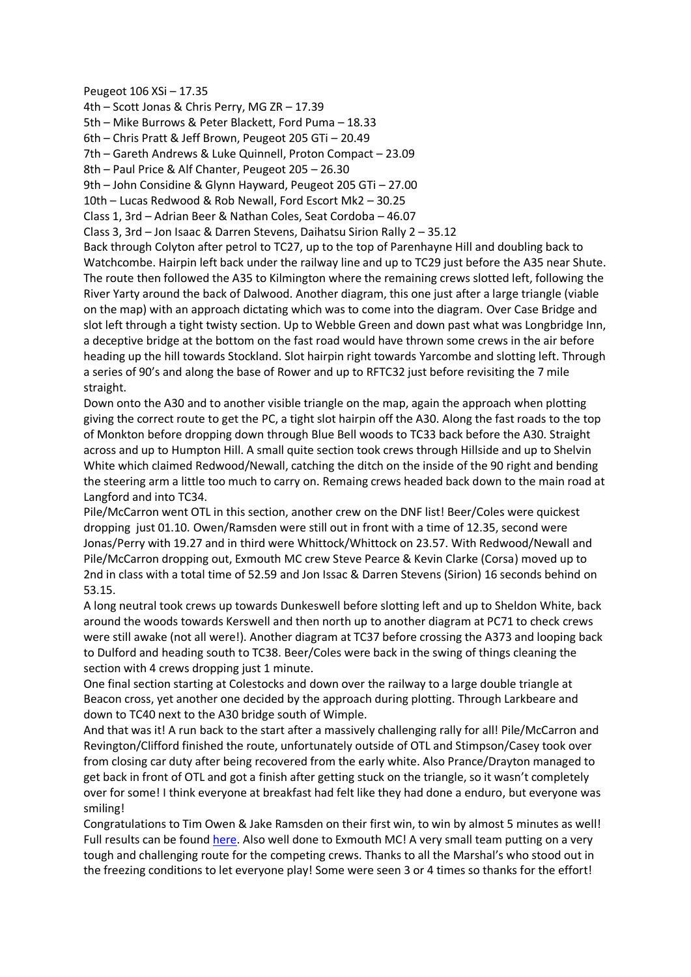## Peugeot 106 XSi – 17.35

4th – Scott Jonas & Chris Perry, MG ZR – 17.39 5th – Mike Burrows & Peter Blackett, Ford Puma – 18.33 6th – Chris Pratt & Jeff Brown, Peugeot 205 GTi – 20.49 7th – Gareth Andrews & Luke Quinnell, Proton Compact – 23.09 8th – Paul Price & Alf Chanter, Peugeot 205 – 26.30 9th – John Considine & Glynn Hayward, Peugeot 205 GTi – 27.00 10th – Lucas Redwood & Rob Newall, Ford Escort Mk2 – 30.25 Class 1, 3rd – Adrian Beer & Nathan Coles, Seat Cordoba – 46.07 Class 3, 3rd – Jon Isaac & Darren Stevens, Daihatsu Sirion Rally 2 – 35.12 Back through Colyton after petrol to TC27, up to the top of Parenhayne Hill and doubling back to Watchcombe. Hairpin left back under the railway line and up to TC29 just before the A35 near Shute. The route then followed the A35 to Kilmington where the remaining crews slotted left, following the River Yarty around the back of Dalwood. Another diagram, this one just after a large triangle (viable on the map) with an approach dictating which was to come into the diagram. Over Case Bridge and slot left through a tight twisty section. Up to Webble Green and down past what was Longbridge Inn, a deceptive bridge at the bottom on the fast road would have thrown some crews in the air before heading up the hill towards Stockland. Slot hairpin right towards Yarcombe and slotting left. Through a series of 90's and along the base of Rower and up to RFTC32 just before revisiting the 7 mile straight.

Down onto the A30 and to another visible triangle on the map, again the approach when plotting giving the correct route to get the PC, a tight slot hairpin off the A30. Along the fast roads to the top of Monkton before dropping down through Blue Bell woods to TC33 back before the A30. Straight across and up to Humpton Hill. A small quite section took crews through Hillside and up to Shelvin White which claimed Redwood/Newall, catching the ditch on the inside of the 90 right and bending the steering arm a little too much to carry on. Remaing crews headed back down to the main road at Langford and into TC34.

Pile/McCarron went OTL in this section, another crew on the DNF list! Beer/Coles were quickest dropping just 01.10. Owen/Ramsden were still out in front with a time of 12.35, second were Jonas/Perry with 19.27 and in third were Whittock/Whittock on 23.57. With Redwood/Newall and Pile/McCarron dropping out, Exmouth MC crew Steve Pearce & Kevin Clarke (Corsa) moved up to 2nd in class with a total time of 52.59 and Jon Issac & Darren Stevens (Sirion) 16 seconds behind on 53.15.

A long neutral took crews up towards Dunkeswell before slotting left and up to Sheldon White, back around the woods towards Kerswell and then north up to another diagram at PC71 to check crews were still awake (not all were!). Another diagram at TC37 before crossing the A373 and looping back to Dulford and heading south to TC38. Beer/Coles were back in the swing of things cleaning the section with 4 crews dropping just 1 minute.

One final section starting at Colestocks and down over the railway to a large double triangle at Beacon cross, yet another one decided by the approach during plotting. Through Larkbeare and down to TC40 next to the A30 bridge south of Wimple.

And that was it! A run back to the start after a massively challenging rally for all! Pile/McCarron and Revington/Clifford finished the route, unfortunately outside of OTL and Stimpson/Casey took over from closing car duty after being recovered from the early white. Also Prance/Drayton managed to get back in front of OTL and got a finish after getting stuck on the triangle, so it wasn't completely over for some! I think everyone at breakfast had felt like they had done a enduro, but everyone was smiling!

Congratulations to Tim Owen & Jake Ramsden on their first win, to win by almost 5 minutes as well! Full results can be found [here.](https://www.britishroadrallying.com/barbara-carter-memorial-2014-results/) Also well done to Exmouth MC! A very small team putting on a very tough and challenging route for the competing crews. Thanks to all the Marshal's who stood out in the freezing conditions to let everyone play! Some were seen 3 or 4 times so thanks for the effort!